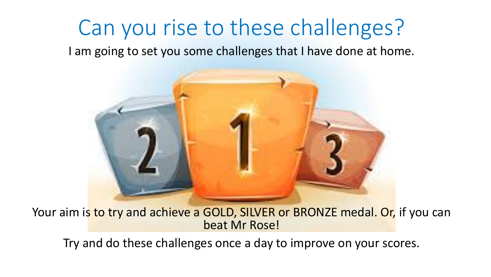### Can you rise to these challenges?

I am going to set you some challenges that I have done at home.



Your aim is to try and achieve a GOLD, SILVER or BRONZE medal. Or, if you can beat Mr Rose!

Try and do these challenges once a day to improve on your scores.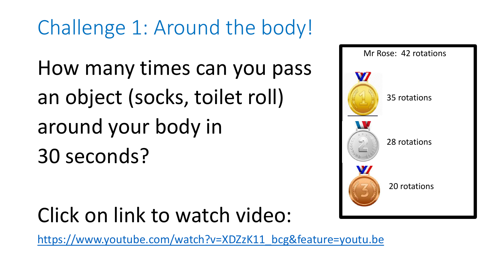Challenge 1: Around the body!

How many times can you pass an object (socks, toilet roll) around your body in 30 seconds?

#### Click on link to watch video:

[https://www.youtube.com/watch?v=XDZzK11\\_bcg&feature=youtu.be](https://www.youtube.com/watch?v=XDZzK11_bcg&feature=youtu.be)

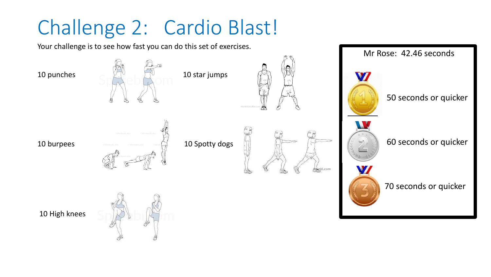### Challenge 2: Cardio Blast!

Your challenge is to see how fast you can do this set of exercises.









50 seconds or quicker

Mr Rose: 42.46 seconds

60 seconds or quicker



70 seconds or quicker

10 High knees

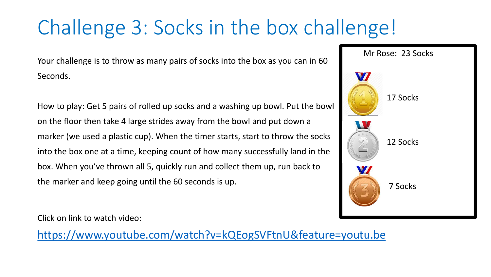## Challenge 3: Socks in the box challenge!

Your challenge is to throw as many pairs of socks into the box as you can in 60 Seconds.

How to play: Get 5 pairs of rolled up socks and a washing up bowl. Put the bowl on the floor then take 4 large strides away from the bowl and put down a marker (we used a plastic cup). When the timer starts, start to throw the socks into the box one at a time, keeping count of how many successfully land in the box. When you've thrown all 5, quickly run and collect them up, run back to the marker and keep going until the 60 seconds is up.



Click on link to watch video:

<https://www.youtube.com/watch?v=kQEogSVFtnU&feature=youtu.be>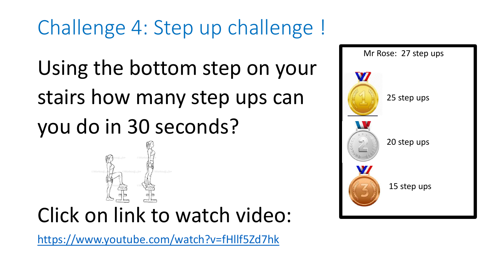Challenge 4: Step up challenge !

Using the bottom step on your stairs how many step ups can

you do in 30 seconds?



<https://www.youtube.com/watch?v=fHllf5Zd7hk>

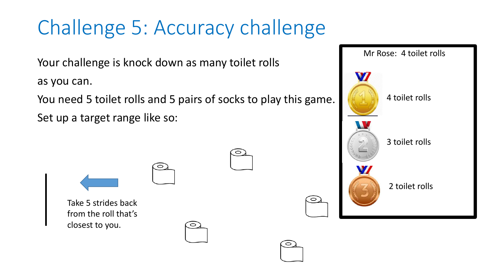## Challenge 5: Accuracy challenge

Your challenge is knock down as many toilet rolls

as you can.

You need 5 toilet rolls and 5 pairs of socks to play this game. Set up a target range like so:



Mr Rose: 4 toilet rolls

4 toilet rolls